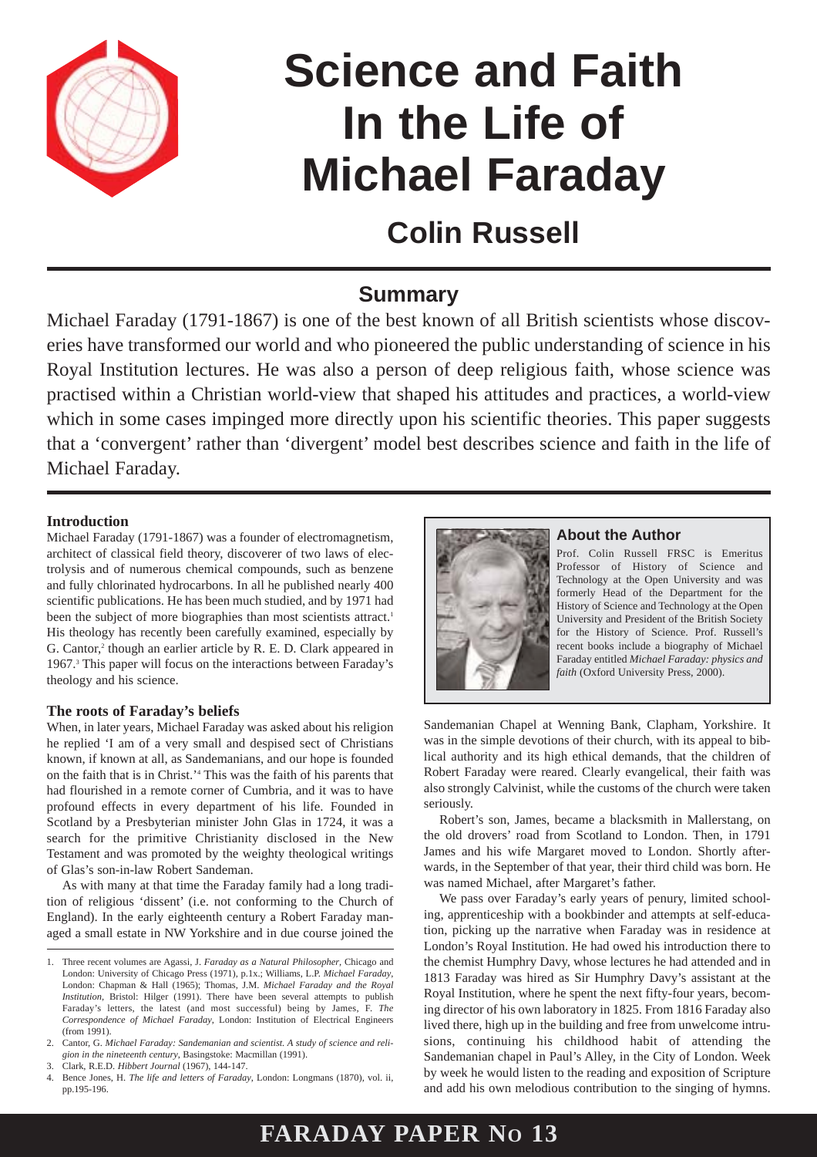

# **Science and Faith In the Life of Michael Faraday**

## **Colin Russell**

### **Summary**

Michael Faraday (1791-1867) is one of the best known of all British scientists whose discoveries have transformed our world and who pioneered the public understanding of science in his Royal Institution lectures. He was also a person of deep religious faith, whose science was practised within a Christian world-view that shaped his attitudes and practices, a world-view which in some cases impinged more directly upon his scientific theories. This paper suggests that a 'convergent' rather than 'divergent' model best describes science and faith in the life of Michael Faraday.

#### **Introduction**

Michael Faraday (1791-1867) was a founder of electromagnetism, architect of classical field theory, discoverer of two laws of electrolysis and of numerous chemical compounds, such as benzene and fully chlorinated hydrocarbons. In all he published nearly 400 scientific publications. He has been much studied, and by 1971 had been the subject of more biographies than most scientists attract.<sup>1</sup> His theology has recently been carefully examined, especially by G. Cantor,<sup>2</sup> though an earlier article by R. E. D. Clark appeared in 1967.3 This paper will focus on the interactions between Faraday's theology and his science.

#### **The roots of Faraday's beliefs**

When, in later years, Michael Faraday was asked about his religion he replied 'I am of a very small and despised sect of Christians known, if known at all, as Sandemanians, and our hope is founded on the faith that is in Christ.'4 This was the faith of his parents that had flourished in a remote corner of Cumbria, and it was to have profound effects in every department of his life. Founded in Scotland by a Presbyterian minister John Glas in 1724, it was a search for the primitive Christianity disclosed in the New Testament and was promoted by the weighty theological writings of Glas's son-in-law Robert Sandeman.

As with many at that time the Faraday family had a long tradition of religious 'dissent' (i.e. not conforming to the Church of England). In the early eighteenth century a Robert Faraday managed a small estate in NW Yorkshire and in due course joined the



#### **About the Author**

Prof. Colin Russell FRSC is Emeritus Professor of History of Science and Technology at the Open University and was formerly Head of the Department for the History of Science and Technology at the Open University and President of the British Society for the History of Science. Prof. Russell's recent books include a biography of Michael Faraday entitled *Michael Faraday: physics and faith* (Oxford University Press, 2000).

Sandemanian Chapel at Wenning Bank, Clapham, Yorkshire. It was in the simple devotions of their church, with its appeal to biblical authority and its high ethical demands, that the children of Robert Faraday were reared. Clearly evangelical, their faith was also strongly Calvinist, while the customs of the church were taken seriously.

Robert's son, James, became a blacksmith in Mallerstang, on the old drovers' road from Scotland to London. Then, in 1791 James and his wife Margaret moved to London. Shortly afterwards, in the September of that year, their third child was born. He was named Michael, after Margaret's father.

We pass over Faraday's early years of penury, limited schooling, apprenticeship with a bookbinder and attempts at self-education, picking up the narrative when Faraday was in residence at London's Royal Institution. He had owed his introduction there to the chemist Humphry Davy, whose lectures he had attended and in 1813 Faraday was hired as Sir Humphry Davy's assistant at the Royal Institution, where he spent the next fifty-four years, becoming director of his own laboratory in 1825. From 1816 Faraday also lived there, high up in the building and free from unwelcome intrusions, continuing his childhood habit of attending the Sandemanian chapel in Paul's Alley, in the City of London. Week by week he would listen to the reading and exposition of Scripture and add his own melodious contribution to the singing of hymns.

### **FARADAY PAPER NO 13**

<sup>1.</sup> Three recent volumes are Agassi, J. *Faraday as a Natural Philosopher*, Chicago and London: University of Chicago Press (1971), p.1x.; Williams, L.P. *Michael Faraday*, London: Chapman & Hall (1965); Thomas, J.M. *Michael Faraday and the Royal Institution*, Bristol: Hilger (1991). There have been several attempts to publish Faraday's letters, the latest (and most successful) being by James, F. *The Correspondence of Michael Faraday*, London: Institution of Electrical Engineers (from 1991).

<sup>2.</sup> Cantor, G. *Michael Faraday: Sandemanian and scientist. A study of science and religion in the nineteenth century*, Basingstoke: Macmillan (1991).

<sup>3.</sup> Clark, R.E.D. *Hibbert Journal* (1967), 144-147.

<sup>4.</sup> Bence Jones, H. *The life and letters of Faraday*, London: Longmans (1870), vol. ii, pp.195-196.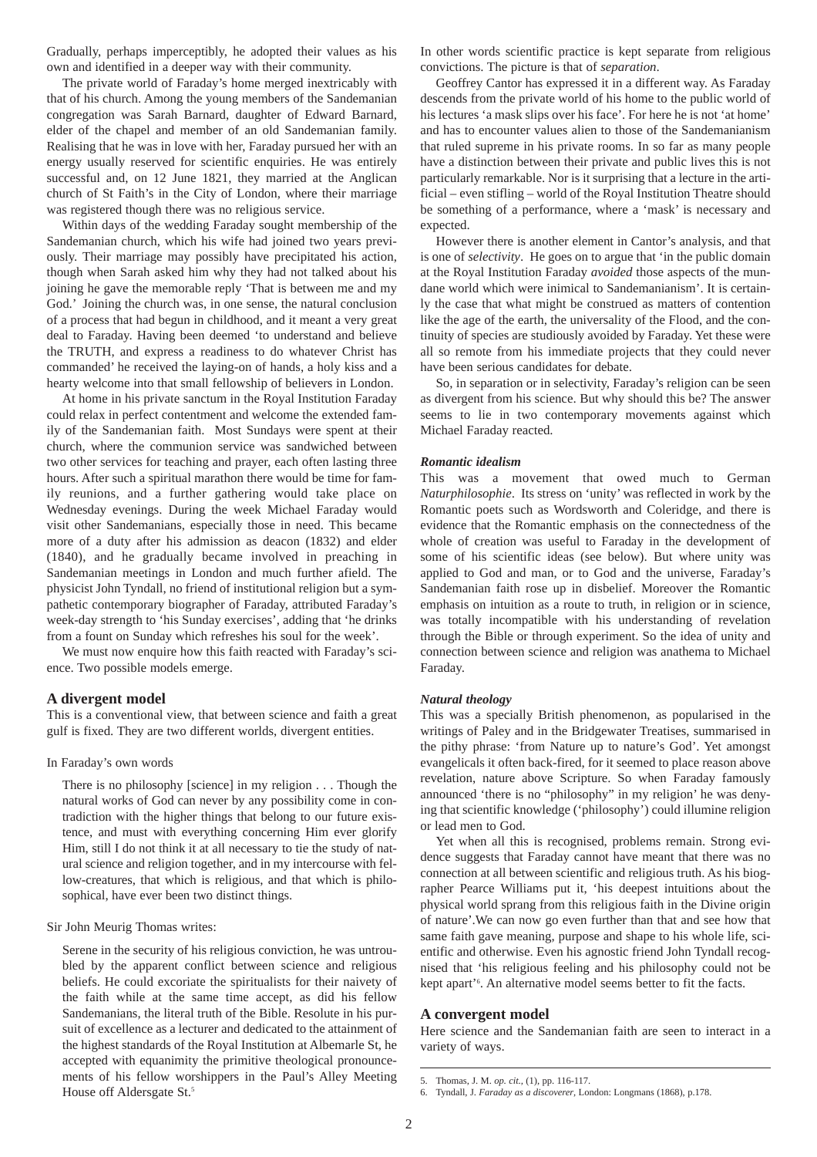Gradually, perhaps imperceptibly, he adopted their values as his own and identified in a deeper way with their community.

The private world of Faraday's home merged inextricably with that of his church. Among the young members of the Sandemanian congregation was Sarah Barnard, daughter of Edward Barnard, elder of the chapel and member of an old Sandemanian family. Realising that he was in love with her, Faraday pursued her with an energy usually reserved for scientific enquiries. He was entirely successful and, on 12 June 1821, they married at the Anglican church of St Faith's in the City of London, where their marriage was registered though there was no religious service.

Within days of the wedding Faraday sought membership of the Sandemanian church, which his wife had joined two years previously. Their marriage may possibly have precipitated his action, though when Sarah asked him why they had not talked about his joining he gave the memorable reply 'That is between me and my God.' Joining the church was, in one sense, the natural conclusion of a process that had begun in childhood, and it meant a very great deal to Faraday. Having been deemed 'to understand and believe the TRUTH, and express a readiness to do whatever Christ has commanded' he received the laying-on of hands, a holy kiss and a hearty welcome into that small fellowship of believers in London.

At home in his private sanctum in the Royal Institution Faraday could relax in perfect contentment and welcome the extended family of the Sandemanian faith. Most Sundays were spent at their church, where the communion service was sandwiched between two other services for teaching and prayer, each often lasting three hours. After such a spiritual marathon there would be time for family reunions, and a further gathering would take place on Wednesday evenings. During the week Michael Faraday would visit other Sandemanians, especially those in need. This became more of a duty after his admission as deacon (1832) and elder (1840), and he gradually became involved in preaching in Sandemanian meetings in London and much further afield. The physicist John Tyndall, no friend of institutional religion but a sympathetic contemporary biographer of Faraday, attributed Faraday's week-day strength to 'his Sunday exercises', adding that 'he drinks from a fount on Sunday which refreshes his soul for the week'.

We must now enquire how this faith reacted with Faraday's science. Two possible models emerge.

#### **A divergent model**

This is a conventional view, that between science and faith a great gulf is fixed. They are two different worlds, divergent entities.

#### In Faraday's own words

There is no philosophy [science] in my religion . . . Though the natural works of God can never by any possibility come in contradiction with the higher things that belong to our future existence, and must with everything concerning Him ever glorify Him, still I do not think it at all necessary to tie the study of natural science and religion together, and in my intercourse with fellow-creatures, that which is religious, and that which is philosophical, have ever been two distinct things.

#### Sir John Meurig Thomas writes:

Serene in the security of his religious conviction, he was untroubled by the apparent conflict between science and religious beliefs. He could excoriate the spiritualists for their naivety of the faith while at the same time accept, as did his fellow Sandemanians, the literal truth of the Bible. Resolute in his pursuit of excellence as a lecturer and dedicated to the attainment of the highest standards of the Royal Institution at Albemarle St, he accepted with equanimity the primitive theological pronouncements of his fellow worshippers in the Paul's Alley Meeting House off Aldersgate St.<sup>5</sup>

In other words scientific practice is kept separate from religious convictions. The picture is that of *separation*.

Geoffrey Cantor has expressed it in a different way. As Faraday descends from the private world of his home to the public world of his lectures 'a mask slips over his face'. For here he is not 'at home' and has to encounter values alien to those of the Sandemanianism that ruled supreme in his private rooms. In so far as many people have a distinction between their private and public lives this is not particularly remarkable. Nor is it surprising that a lecture in the artificial – even stifling – world of the Royal Institution Theatre should be something of a performance, where a 'mask' is necessary and expected.

However there is another element in Cantor's analysis, and that is one of *selectivity*. He goes on to argue that 'in the public domain at the Royal Institution Faraday *avoided* those aspects of the mundane world which were inimical to Sandemanianism'. It is certainly the case that what might be construed as matters of contention like the age of the earth, the universality of the Flood, and the continuity of species are studiously avoided by Faraday. Yet these were all so remote from his immediate projects that they could never have been serious candidates for debate.

So, in separation or in selectivity, Faraday's religion can be seen as divergent from his science. But why should this be? The answer seems to lie in two contemporary movements against which Michael Faraday reacted.

#### *Romantic idealism*

This was a movement that owed much to German *Naturphilosophie*. Its stress on 'unity' was reflected in work by the Romantic poets such as Wordsworth and Coleridge, and there is evidence that the Romantic emphasis on the connectedness of the whole of creation was useful to Faraday in the development of some of his scientific ideas (see below). But where unity was applied to God and man, or to God and the universe, Faraday's Sandemanian faith rose up in disbelief. Moreover the Romantic emphasis on intuition as a route to truth, in religion or in science, was totally incompatible with his understanding of revelation through the Bible or through experiment. So the idea of unity and connection between science and religion was anathema to Michael Faraday.

#### *Natural theology*

This was a specially British phenomenon, as popularised in the writings of Paley and in the Bridgewater Treatises, summarised in the pithy phrase: 'from Nature up to nature's God'. Yet amongst evangelicals it often back-fired, for it seemed to place reason above revelation, nature above Scripture. So when Faraday famously announced 'there is no "philosophy" in my religion' he was denying that scientific knowledge ('philosophy') could illumine religion or lead men to God.

Yet when all this is recognised, problems remain. Strong evidence suggests that Faraday cannot have meant that there was no connection at all between scientific and religious truth. As his biographer Pearce Williams put it, 'his deepest intuitions about the physical world sprang from this religious faith in the Divine origin of nature'.We can now go even further than that and see how that same faith gave meaning, purpose and shape to his whole life, scientific and otherwise. Even his agnostic friend John Tyndall recognised that 'his religious feeling and his philosophy could not be kept apart'<sup>6</sup>. An alternative model seems better to fit the facts.

#### **A convergent model**

Here science and the Sandemanian faith are seen to interact in a variety of ways.

<sup>5.</sup> Thomas, J. M. *op. cit.,* (1), pp. 116-117.

<sup>6.</sup> Tyndall, J. *Faraday as a discoverer*, London: Longmans (1868), p.178.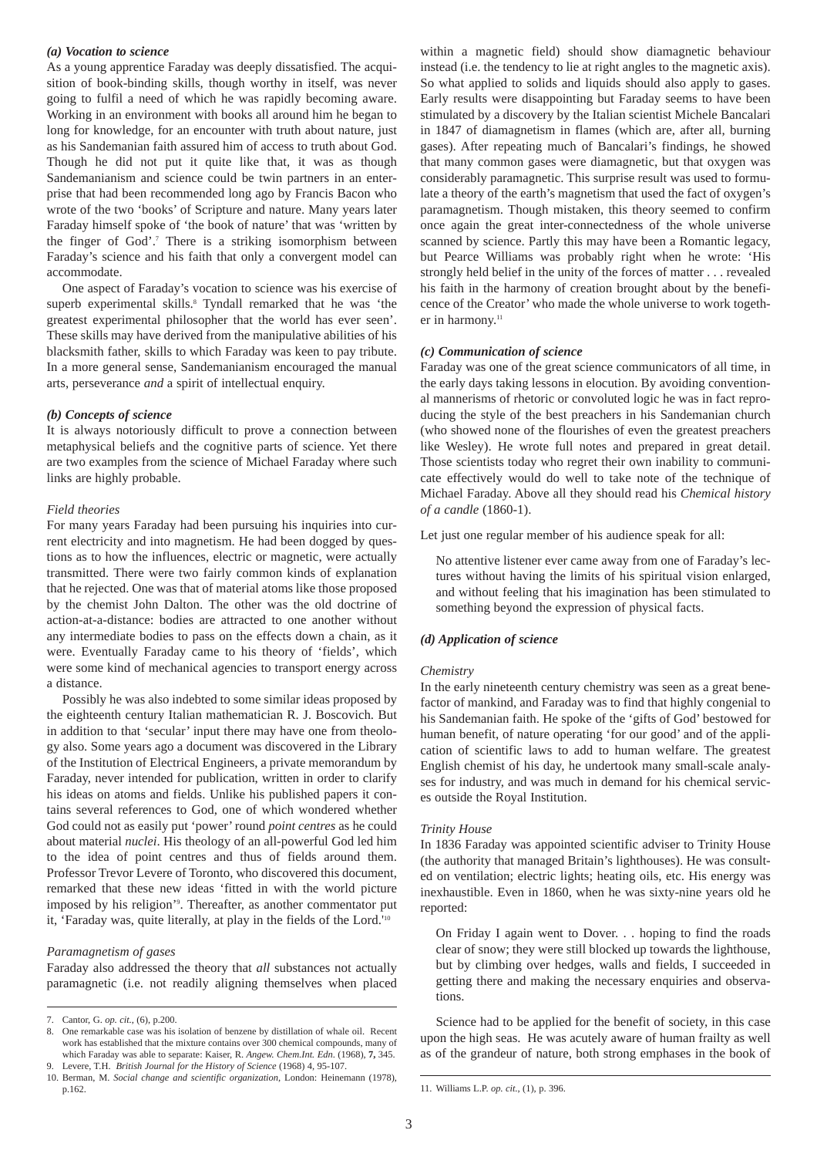#### *(a) Vocation to science*

As a young apprentice Faraday was deeply dissatisfied. The acquisition of book-binding skills, though worthy in itself, was never going to fulfil a need of which he was rapidly becoming aware. Working in an environment with books all around him he began to long for knowledge, for an encounter with truth about nature, just as his Sandemanian faith assured him of access to truth about God. Though he did not put it quite like that, it was as though Sandemanianism and science could be twin partners in an enterprise that had been recommended long ago by Francis Bacon who wrote of the two 'books' of Scripture and nature. Many years later Faraday himself spoke of 'the book of nature' that was 'written by the finger of God'.7 There is a striking isomorphism between Faraday's science and his faith that only a convergent model can accommodate.

One aspect of Faraday's vocation to science was his exercise of superb experimental skills.<sup>8</sup> Tyndall remarked that he was 'the greatest experimental philosopher that the world has ever seen'. These skills may have derived from the manipulative abilities of his blacksmith father, skills to which Faraday was keen to pay tribute. In a more general sense, Sandemanianism encouraged the manual arts, perseverance *and* a spirit of intellectual enquiry.

#### *(b) Concepts of science*

It is always notoriously difficult to prove a connection between metaphysical beliefs and the cognitive parts of science. Yet there are two examples from the science of Michael Faraday where such links are highly probable.

#### *Field theories*

For many years Faraday had been pursuing his inquiries into current electricity and into magnetism. He had been dogged by questions as to how the influences, electric or magnetic, were actually transmitted. There were two fairly common kinds of explanation that he rejected. One was that of material atoms like those proposed by the chemist John Dalton. The other was the old doctrine of action-at-a-distance: bodies are attracted to one another without any intermediate bodies to pass on the effects down a chain, as it were. Eventually Faraday came to his theory of 'fields', which were some kind of mechanical agencies to transport energy across a distance.

Possibly he was also indebted to some similar ideas proposed by the eighteenth century Italian mathematician R. J. Boscovich. But in addition to that 'secular' input there may have one from theology also. Some years ago a document was discovered in the Library of the Institution of Electrical Engineers, a private memorandum by Faraday, never intended for publication, written in order to clarify his ideas on atoms and fields. Unlike his published papers it contains several references to God, one of which wondered whether God could not as easily put 'power' round *point centres* as he could about material *nuclei*. His theology of an all-powerful God led him to the idea of point centres and thus of fields around them. Professor Trevor Levere of Toronto, who discovered this document, remarked that these new ideas 'fitted in with the world picture imposed by his religion'9 . Thereafter, as another commentator put it, 'Faraday was, quite literally, at play in the fields of the Lord.'10

#### *Paramagnetism of gases*

Faraday also addressed the theory that *all* substances not actually paramagnetic (i.e. not readily aligning themselves when placed within a magnetic field) should show diamagnetic behaviour instead (i.e. the tendency to lie at right angles to the magnetic axis). So what applied to solids and liquids should also apply to gases. Early results were disappointing but Faraday seems to have been stimulated by a discovery by the Italian scientist Michele Bancalari in 1847 of diamagnetism in flames (which are, after all, burning gases). After repeating much of Bancalari's findings, he showed that many common gases were diamagnetic, but that oxygen was considerably paramagnetic. This surprise result was used to formulate a theory of the earth's magnetism that used the fact of oxygen's paramagnetism. Though mistaken, this theory seemed to confirm once again the great inter-connectedness of the whole universe scanned by science. Partly this may have been a Romantic legacy, but Pearce Williams was probably right when he wrote: 'His strongly held belief in the unity of the forces of matter . . . revealed his faith in the harmony of creation brought about by the beneficence of the Creator' who made the whole universe to work together in harmony.<sup>11</sup>

#### *(c) Communication of science*

Faraday was one of the great science communicators of all time, in the early days taking lessons in elocution. By avoiding conventional mannerisms of rhetoric or convoluted logic he was in fact reproducing the style of the best preachers in his Sandemanian church (who showed none of the flourishes of even the greatest preachers like Wesley). He wrote full notes and prepared in great detail. Those scientists today who regret their own inability to communicate effectively would do well to take note of the technique of Michael Faraday. Above all they should read his *Chemical history of a candle* (1860-1).

Let just one regular member of his audience speak for all:

No attentive listener ever came away from one of Faraday's lectures without having the limits of his spiritual vision enlarged, and without feeling that his imagination has been stimulated to something beyond the expression of physical facts.

#### *(d) Application of science*

#### *Chemistry*

In the early nineteenth century chemistry was seen as a great benefactor of mankind, and Faraday was to find that highly congenial to his Sandemanian faith. He spoke of the 'gifts of God' bestowed for human benefit, of nature operating 'for our good' and of the application of scientific laws to add to human welfare. The greatest English chemist of his day, he undertook many small-scale analyses for industry, and was much in demand for his chemical services outside the Royal Institution.

#### *Trinity House*

In 1836 Faraday was appointed scientific adviser to Trinity House (the authority that managed Britain's lighthouses). He was consulted on ventilation; electric lights; heating oils, etc. His energy was inexhaustible. Even in 1860, when he was sixty-nine years old he reported:

On Friday I again went to Dover. . . hoping to find the roads clear of snow; they were still blocked up towards the lighthouse, but by climbing over hedges, walls and fields, I succeeded in getting there and making the necessary enquiries and observations.

Science had to be applied for the benefit of society, in this case upon the high seas. He was acutely aware of human frailty as well as of the grandeur of nature, both strong emphases in the book of

<sup>7.</sup> Cantor, G. *op. cit.*, (6), p.200.

<sup>8.</sup> One remarkable case was his isolation of benzene by distillation of whale oil. Recent work has established that the mixture contains over 300 chemical compounds, many of which Faraday was able to separate: Kaiser, R. *Angew. Chem.Int. Edn*. (1968), **7,** 345. 9. Levere, T.H. *British Journal for the History of Science* (1968) 4, 95-107.

<sup>10.</sup> Berman, M. *Social change and scientific organization*, London: Heinemann (1978), p.162.

<sup>11.</sup> Williams L.P. *op. cit.*, (1), p. 396.